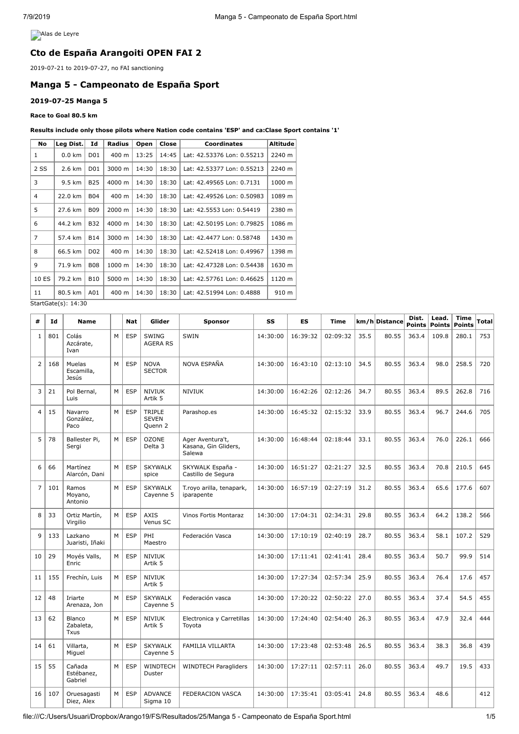**Alas de Leyre** 

# **Cto de España Arangoiti OPEN FAI 2**

2019-07-21 to 2019-07-27, no FAI sanctioning

# **Manga 5 - Campeonato de España Sport**

### **2019-07-25 Manga 5**

### **Race to Goal 80.5 km**

#### **Results include only those pilots where Nation code contains 'ESP' and ca:Clase Sport contains '1'**

| No             | Leg Dist.        | Id                                                           | Radius | Open                       | Close  | <b>Coordinates</b>         | Altitude |
|----------------|------------------|--------------------------------------------------------------|--------|----------------------------|--------|----------------------------|----------|
| 1              | $0.0 \text{ km}$ | D01                                                          | 400 m  | 13:25                      | 14:45  | Lat: 42.53376 Lon: 0.55213 | 2240 m   |
| 2 SS           | D01<br>2.6 km    |                                                              | 3000 m | 14:30                      | 18:30  | Lat: 42.53377 Lon: 0.55213 | 2240 m   |
| 3              | 9.5 km           | <b>B25</b>                                                   | 4000 m | 14:30                      | 18:30  | Lat: 42.49565 Lon: 0.7131  | 1000 m   |
| $\overline{4}$ | 22.0 km          | <b>B04</b>                                                   | 400 m  | 14:30                      | 18:30  | Lat: 42.49526 Lon: 0.50983 | 1089 m   |
| 5              | 27.6 km          | B09                                                          | 2000 m | 14:30                      | 18:30  | Lat: 42.5553 Lon: 0.54419  | 2380 m   |
| 6              | 44.2 km          | <b>B32</b><br>4000 m<br>14:30<br>18:30                       |        | Lat: 42.50195 Lon: 0.79825 | 1086 m |                            |          |
| 7              | 57.4 km          | B14<br>3000 m<br>14:30<br>Lat: 42.4477 Lon: 0.58748<br>18:30 |        | 1430 m                     |        |                            |          |
| 8              | 66.5 km          | D <sub>0</sub> 2                                             | 400 m  | 14:30                      | 18:30  | Lat: 42.52418 Lon: 0.49967 | 1398 m   |
| 9              | 71.9 km          | <b>B08</b>                                                   | 1000 m | 14:30                      | 18:30  | Lat: 42.47328 Lon: 0.54438 | 1630 m   |
| 10 ES          | 79.2 km          | <b>B10</b>                                                   | 5000 m | 14:30                      | 18:30  | Lat: 42.57761 Lon: 0.46625 | 1120 m   |
| 11             | 80.5 km          | A01                                                          | 400 m  | 14:30                      | 18:30  | Lat: 42.51994 Lon: 0.4888  | 910 m    |

StartGate(s): 14:30

| #              | Id  | <b>Name</b>                        |   | <b>Nat</b> | Glider                            | <b>Sponsor</b>                                     | SS       | ES       | <b>Time</b> |      | km/h Distance | Dist.<br>Points | Lead.<br><b>Points</b> | <b>Time</b><br><b>Points</b> | <b>Total</b> |
|----------------|-----|------------------------------------|---|------------|-----------------------------------|----------------------------------------------------|----------|----------|-------------|------|---------------|-----------------|------------------------|------------------------------|--------------|
| $\mathbf{1}$   | 801 | Colás<br>Azcárate,<br>Ivan         | M | <b>ESP</b> | <b>SWING</b><br><b>AGERA RS</b>   | SWIN                                               | 14:30:00 | 16:39:32 | 02:09:32    | 35.5 | 80.55         | 363.4           | 109.8                  | 280.1                        | 753          |
| $\overline{2}$ | 168 | Muelas<br>Escamilla,<br>Jesús      | M | <b>ESP</b> | <b>NOVA</b><br><b>SECTOR</b>      | NOVA ESPAÑA                                        | 14:30:00 | 16:43:10 | 02:13:10    | 34.5 | 80.55         | 363.4           | 98.0                   | 258.5                        | 720          |
| 3              | 21  | Pol Bernal,<br>Luis                | M | <b>ESP</b> | <b>NIVIUK</b><br>Artik 5          | <b>NIVIUK</b>                                      | 14:30:00 | 16:42:26 | 02:12:26    | 34.7 | 80.55         | 363.4           | 89.5                   | 262.8                        | 716          |
| $\overline{4}$ | 15  | Navarro<br>González,<br>Paco       | M | <b>ESP</b> | TRIPLE<br><b>SEVEN</b><br>Quenn 2 | Parashop.es                                        | 14:30:00 | 16:45:32 | 02:15:32    | 33.9 | 80.55         | 363.4           | 96.7                   | 244.6                        | 705          |
| 5              | 78  | Ballester Pi,<br>Sergi             | M | <b>ESP</b> | <b>OZONE</b><br>Delta 3           | Ager Aventura't,<br>Kasana, Gin Gliders,<br>Salewa | 14:30:00 | 16:48:44 | 02:18:44    | 33.1 | 80.55         | 363.4           | 76.0                   | 226.1                        | 666          |
| 6              | 66  | Martínez<br>Alarcón, Dani          | M | <b>ESP</b> | <b>SKYWALK</b><br>spice           | SKYWALK España -<br>Castillo de Segura             | 14:30:00 | 16:51:27 | 02:21:27    | 32.5 | 80.55         | 363.4           | 70.8                   | 210.5                        | 645          |
| $\overline{7}$ | 101 | Ramos<br>Moyano,<br>Antonio        | M | <b>ESP</b> | <b>SKYWALK</b><br>Cayenne 5       | T.royo arilla, tenapark,<br>iparapente             | 14:30:00 | 16:57:19 | 02:27:19    | 31.2 | 80.55         | 363.4           | 65.6                   | 177.6                        | 607          |
| 8              | 33  | Ortiz Martín,<br>Virgilio          | M | ESP        | <b>AXIS</b><br>Venus SC           | <b>Vinos Fortis Montaraz</b>                       | 14:30:00 | 17:04:31 | 02:34:31    | 29.8 | 80.55         | 363.4           | 64.2                   | 138.2                        | 566          |
| 9              | 133 | Lazkano<br>Juaristi, Iñaki         | M | <b>ESP</b> | PHI<br>Maestro                    | Federación Vasca                                   | 14:30:00 | 17:10:19 | 02:40:19    | 28.7 | 80.55         | 363.4           | 58.1                   | 107.2                        | 529          |
| 10             | 29  | Moyés Valls,<br>Enric              | M | <b>ESP</b> | <b>NIVIUK</b><br>Artik 5          |                                                    | 14:30:00 | 17:11:41 | 02:41:41    | 28.4 | 80.55         | 363.4           | 50.7                   | 99.9                         | 514          |
| 11             | 155 | Frechín, Luis                      | M | <b>ESP</b> | <b>NIVIUK</b><br>Artik 5          |                                                    | 14:30:00 | 17:27:34 | 02:57:34    | 25.9 | 80.55         | 363.4           | 76.4                   | 17.6                         | 457          |
| 12             | 48  | Iriarte<br>Arenaza, Jon            | M | <b>ESP</b> | <b>SKYWALK</b><br>Cayenne 5       | Federación vasca                                   | 14:30:00 | 17:20:22 | 02:50:22    | 27.0 | 80.55         | 363.4           | 37.4                   | 54.5                         | 455          |
| 13             | 62  | <b>Blanco</b><br>Zabaleta,<br>Txus | M | <b>ESP</b> | <b>NIVIUK</b><br>Artik 5          | Electronica y Carretillas<br>Toyota                | 14:30:00 | 17:24:40 | 02:54:40    | 26.3 | 80.55         | 363.4           | 47.9                   | 32.4                         | 444          |
| 14             | 61  | Villarta,<br>Miguel                | M | <b>ESP</b> | <b>SKYWALK</b><br>Cayenne 5       | FAMILIA VILLARTA                                   | 14:30:00 | 17:23:48 | 02:53:48    | 26.5 | 80.55         | 363.4           | 38.3                   | 36.8                         | 439          |
| 15             | 55  | Cañada<br>Estébanez,<br>Gabriel    | M | <b>ESP</b> | WINDTECH<br>Duster                | <b>WINDTECH Paragliders</b>                        | 14:30:00 | 17:27:11 | 02:57:11    | 26.0 | 80.55         | 363.4           | 49.7                   | 19.5                         | 433          |
| 16             | 107 | Oruesagasti<br>Diez, Alex          | M | <b>ESP</b> | <b>ADVANCE</b><br>Siama 10        | <b>FEDERACION VASCA</b>                            | 14:30:00 | 17:35:41 | 03:05:41    | 24.8 | 80.55         | 363.4           | 48.6                   |                              | 412          |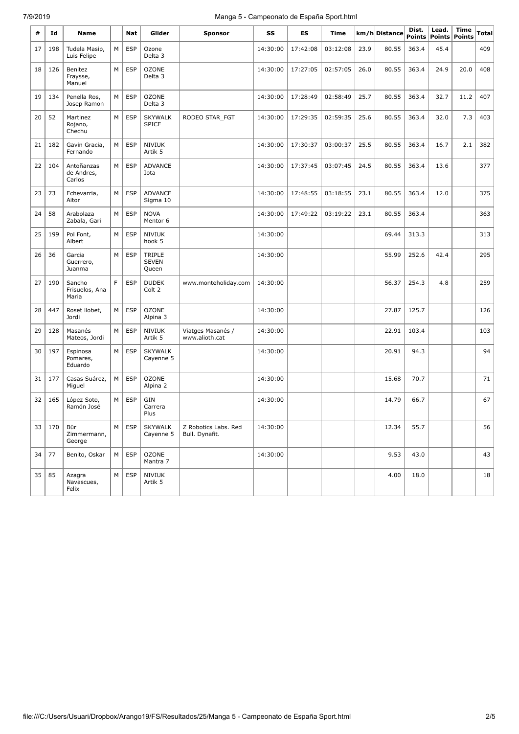# 7/9/2019 Manga 5 - Campeonato de España Sport.html

| #  | Id  | Name                               |    | <b>Nat</b> | Glider                          | Sponsor                                | SS       | ES       | Time     |      | km/h Distance | Dist.<br><b>Points</b> | Lead.<br>Points | <b>Time</b><br>Points | Total |
|----|-----|------------------------------------|----|------------|---------------------------------|----------------------------------------|----------|----------|----------|------|---------------|------------------------|-----------------|-----------------------|-------|
| 17 | 198 | Tudela Masip,<br>Luis Felipe       | M  | <b>ESP</b> | Ozone<br>Delta 3                |                                        | 14:30:00 | 17:42:08 | 03:12:08 | 23.9 | 80.55         | 363.4                  | 45.4            |                       | 409   |
| 18 | 126 | Benitez<br>Fraysse,<br>Manuel      | M  | <b>ESP</b> | <b>OZONE</b><br>Delta 3         |                                        | 14:30:00 | 17:27:05 | 02:57:05 | 26.0 | 80.55         | 363.4                  | 24.9            | 20.0                  | 408   |
| 19 | 134 | Penella Ros,<br>Josep Ramon        | M  | <b>ESP</b> | <b>OZONE</b><br>Delta 3         |                                        | 14:30:00 | 17:28:49 | 02:58:49 | 25.7 | 80.55         | 363.4                  | 32.7            | 11.2                  | 407   |
| 20 | 52  | Martinez<br>Rojano,<br>Chechu      | M  | <b>ESP</b> | <b>SKYWALK</b><br><b>SPICE</b>  | RODEO STAR_FGT                         | 14:30:00 | 17:29:35 | 02:59:35 | 25.6 | 80.55         | 363.4                  | 32.0            | 7.3                   | 403   |
| 21 | 182 | Gavin Gracia,<br>Fernando          | M  | <b>ESP</b> | <b>NIVIUK</b><br>Artik 5        |                                        | 14:30:00 | 17:30:37 | 03:00:37 | 25.5 | 80.55         | 363.4                  | 16.7            | 2.1                   | 382   |
| 22 | 104 | Antoñanzas<br>de Andres,<br>Carlos | M  | <b>ESP</b> | <b>ADVANCE</b><br>Iota          |                                        | 14:30:00 | 17:37:45 | 03:07:45 | 24.5 | 80.55         | 363.4                  | 13.6            |                       | 377   |
| 23 | 73  | Echevarria,<br>Aitor               | M  | <b>ESP</b> | <b>ADVANCE</b><br>Sigma 10      |                                        | 14:30:00 | 17:48:55 | 03:18:55 | 23.1 | 80.55         | 363.4                  | 12.0            |                       | 375   |
| 24 | 58  | Arabolaza<br>Zabala, Gari          | М  | <b>ESP</b> | <b>NOVA</b><br>Mentor 6         |                                        | 14:30:00 | 17:49:22 | 03:19:22 | 23.1 | 80.55         | 363.4                  |                 |                       | 363   |
| 25 | 199 | Pol Font,<br>Albert                | М  | <b>ESP</b> | <b>NIVIUK</b><br>hook 5         |                                        | 14:30:00 |          |          |      | 69.44         | 313.3                  |                 |                       | 313   |
| 26 | 36  | Garcia<br>Guerrero,<br>Juanma      | M  | <b>ESP</b> | TRIPLE<br><b>SEVEN</b><br>Oueen |                                        | 14:30:00 |          |          |      | 55.99         | 252.6                  | 42.4            |                       | 295   |
| 27 | 190 | Sancho<br>Frisuelos, Ana<br>Maria  | F. | <b>ESP</b> | <b>DUDEK</b><br>Colt 2          | www.monteholiday.com                   | 14:30:00 |          |          |      | 56.37         | 254.3                  | 4.8             |                       | 259   |
| 28 | 447 | Roset Ilobet,<br>Jordi             | М  | <b>ESP</b> | <b>OZONE</b><br>Alpina 3        |                                        | 14:30:00 |          |          |      | 27.87         | 125.7                  |                 |                       | 126   |
| 29 | 128 | Masanés<br>Mateos, Jordi           | М  | <b>ESP</b> | <b>NIVIUK</b><br>Artik 5        | Viatges Masanés /<br>www.alioth.cat    | 14:30:00 |          |          |      | 22.91         | 103.4                  |                 |                       | 103   |
| 30 | 197 | Espinosa<br>Pomares,<br>Eduardo    | M  | <b>ESP</b> | <b>SKYWALK</b><br>Cayenne 5     |                                        | 14:30:00 |          |          |      | 20.91         | 94.3                   |                 |                       | 94    |
| 31 | 177 | Casas Suárez,<br>Miguel            | M  | <b>ESP</b> | <b>OZONE</b><br>Alpina 2        |                                        | 14:30:00 |          |          |      | 15.68         | 70.7                   |                 |                       | 71    |
| 32 | 165 | López Soto,<br>Ramón José          | М  | <b>ESP</b> | GIN<br>Carrera<br>Plus          |                                        | 14:30:00 |          |          |      | 14.79         | 66.7                   |                 |                       | 67    |
| 33 | 170 | Bür<br>Zimmermann,<br>George       | M  | <b>ESP</b> | <b>SKYWALK</b><br>Cayenne 5     | Z Robotics Labs. Red<br>Bull. Dynafit. | 14:30:00 |          |          |      | 12.34         | 55.7                   |                 |                       | 56    |
| 34 | 77  | Benito, Oskar                      | M  | <b>ESP</b> | <b>OZONE</b><br>Mantra 7        |                                        | 14:30:00 |          |          |      | 9.53          | 43.0                   |                 |                       | 43    |
| 35 | 85  | Azagra<br>Navascues,<br>Felix      | М  | <b>ESP</b> | <b>NIVIUK</b><br>Artik 5        |                                        |          |          |          |      | 4.00          | 18.0                   |                 |                       | 18    |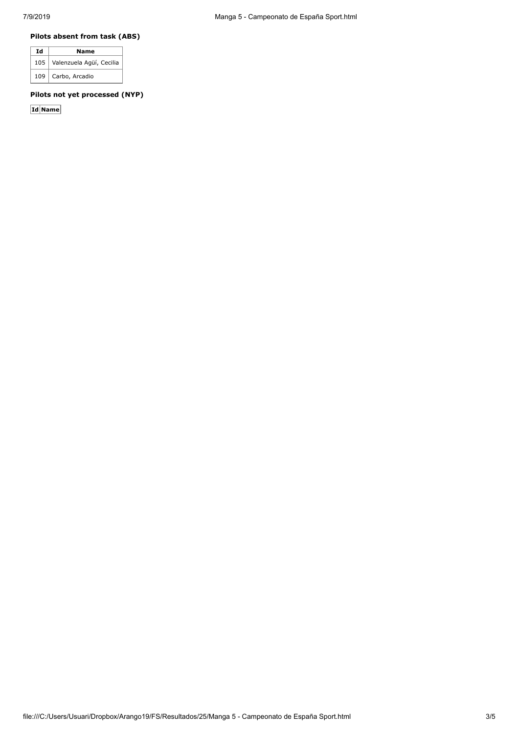### **Pilots absent from task (ABS)**

| Id | Name                           |
|----|--------------------------------|
|    | 105   Valenzuela Agüí, Cecilia |
|    | 109   Carbo, Arcadio           |

# **Pilots not yet processed (NYP)**

**Id Name**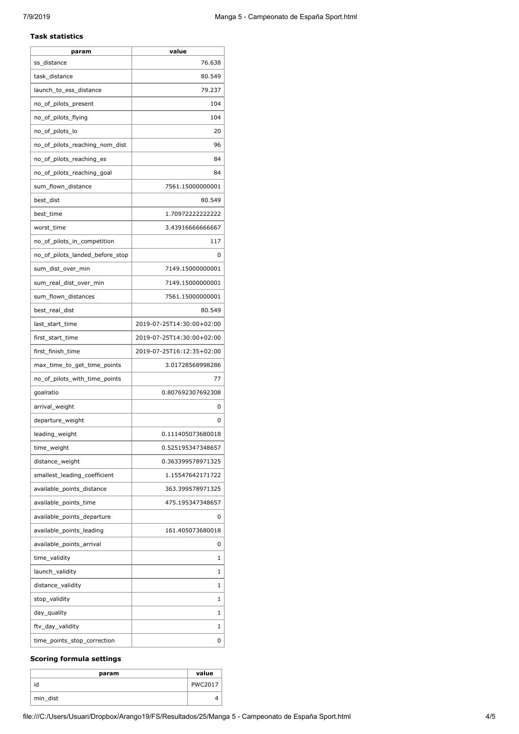#### **Task statistics**

| param                           | value                     |
|---------------------------------|---------------------------|
| ss distance                     | 76.638                    |
| task distance                   | 80.549                    |
| launch to ess distance          | 79.237                    |
| no_of_pilots_present            | 104                       |
| no_of_pilots_flying             | 104                       |
| no_of_pilots_lo                 | 20                        |
| no_of_pilots_reaching_nom_dist  | 96                        |
| no_of_pilots_reaching_es        | 84                        |
| no_of_pilots_reaching_goal      | 84                        |
| sum_flown_distance              | 7561.15000000001          |
| best_dist                       | 80.549                    |
| best_time                       | 1.70972222222222          |
| worst_time                      | 3.43916666666667          |
| no_of_pilots_in_competition     | 117                       |
| no_of_pilots_landed_before_stop | 0                         |
| sum_dist_over_min               | 7149.15000000001          |
| sum real dist over min          | 7149.15000000001          |
| sum_flown_distances             | 7561.15000000001          |
| best_real_dist                  | 80.549                    |
| last_start_time                 | 2019-07-25T14:30:00+02:00 |
| first_start_time                | 2019-07-25T14:30:00+02:00 |
| first_finish_time               | 2019-07-25T16:12:35+02:00 |
| max_time_to_get_time_points     | 3.01728568998286          |
| no_of_pilots_with_time_points   | 77                        |
| goalratio                       | 0.807692307692308         |
| arrival_weight                  | 0                         |
| departure_weight                | 0                         |
| leading_weight                  | 0.111405073680018         |
| time_weight                     | 0.525195347348657         |
| distance_weight                 | 0.363399578971325         |
| smallest_leading_coefficient    | 1.15547642171722          |
| available_points_distance       | 363.399578971325          |
| available_points_time           | 475.195347348657          |
| available_points_departure      | 0                         |
| available_points_leading        | 161.405073680018          |
| available_points_arrival        | 0                         |
| time_validity                   | 1                         |
| launch_validity                 | 1                         |
| distance_validity               | 1                         |
| stop_validity                   | 1                         |
| day_quality                     | 1                         |
| ftv_day_validity                | 1                         |
| time_points_stop_correction     | 0                         |

## **Scoring formula settings**

| param    | value          |
|----------|----------------|
| id       | <b>PWC2017</b> |
| min_dist |                |